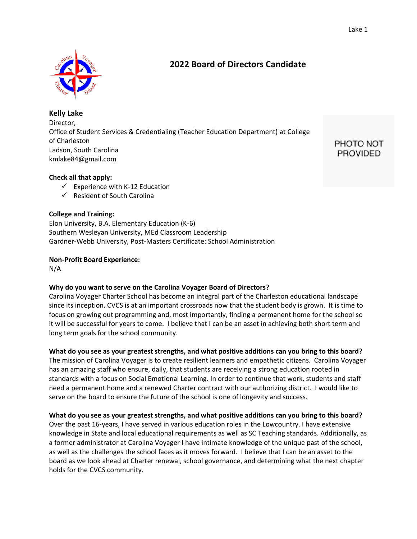

**Kelly Lake** Director, Office of Student Services & Credentialing (Teacher Education Department) at College of Charleston Ladson, South Carolina kmlake84@gmail.com

PHOTO NOT **PROVIDED** 

## **Check all that apply:**

- $\checkmark$  Experience with K-12 Education
- $\checkmark$  Resident of South Carolina

## **College and Training:**

Elon University, B.A. Elementary Education (K-6) Southern Wesleyan University, MEd Classroom Leadership Gardner-Webb University, Post-Masters Certificate: School Administration

## **Non-Profit Board Experience:**

N/A

## **Why do you want to serve on the Carolina Voyager Board of Directors?**

Carolina Voyager Charter School has become an integral part of the Charleston educational landscape since its inception. CVCS is at an important crossroads now that the student body is grown. It is time to focus on growing out programming and, most importantly, finding a permanent home for the school so it will be successful for years to come. I believe that I can be an asset in achieving both short term and long term goals for the school community.

## **What do you see as your greatest strengths, and what positive additions can you bring to this board?**

The mission of Carolina Voyager is to create resilient learners and empathetic citizens. Carolina Voyager has an amazing staff who ensure, daily, that students are receiving a strong education rooted in standards with a focus on Social Emotional Learning. In order to continue that work, students and staff need a permanent home and a renewed Charter contract with our authorizing district. I would like to serve on the board to ensure the future of the school is one of longevity and success.

## **What do you see as your greatest strengths, and what positive additions can you bring to this board?**

Over the past 16-years, I have served in various education roles in the Lowcountry. I have extensive knowledge in State and local educational requirements as well as SC Teaching standards. Additionally, as a former administrator at Carolina Voyager I have intimate knowledge of the unique past of the school, as well as the challenges the school faces as it moves forward. I believe that I can be an asset to the board as we look ahead at Charter renewal, school governance, and determining what the next chapter holds for the CVCS community.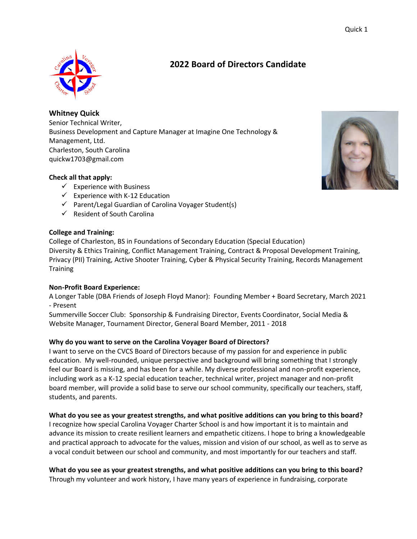**Whitney Quick** Senior Technical Writer, Business Development and Capture Manager at Imagine One Technology & Management, Ltd. Charleston, South Carolina quickw1703@gmail.com

## **Check all that apply:**

- $\checkmark$  Experience with Business
- $\checkmark$  Experience with K-12 Education
- ✓ Parent/Legal Guardian of Carolina Voyager Student(s)
- $\checkmark$  Resident of South Carolina

#### **College and Training:**

College of Charleston, BS in Foundations of Secondary Education (Special Education) Diversity & Ethics Training, Conflict Management Training, Contract & Proposal Development Training, Privacy (PII) Training, Active Shooter Training, Cyber & Physical Security Training, Records Management **Training** 

#### **Non-Profit Board Experience:**

A Longer Table (DBA Friends of Joseph Floyd Manor): Founding Member + Board Secretary, March 2021 - Present

Summerville Soccer Club: Sponsorship & Fundraising Director, Events Coordinator, Social Media & Website Manager, Tournament Director, General Board Member, 2011 - 2018

## **Why do you want to serve on the Carolina Voyager Board of Directors?**

I want to serve on the CVCS Board of Directors because of my passion for and experience in public education. My well-rounded, unique perspective and background will bring something that I strongly feel our Board is missing, and has been for a while. My diverse professional and non-profit experience, including work as a K-12 special education teacher, technical writer, project manager and non-profit board member, will provide a solid base to serve our school community, specifically our teachers, staff, students, and parents.

#### **What do you see as your greatest strengths, and what positive additions can you bring to this board?**

I recognize how special Carolina Voyager Charter School is and how important it is to maintain and advance its mission to create resilient learners and empathetic citizens. I hope to bring a knowledgeable and practical approach to advocate for the values, mission and vision of our school, as well as to serve as a vocal conduit between our school and community, and most importantly for our teachers and staff.

**What do you see as your greatest strengths, and what positive additions can you bring to this board?** Through my volunteer and work history, I have many years of experience in fundraising, corporate

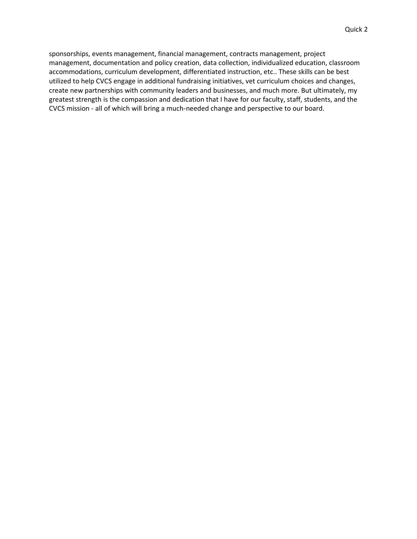sponsorships, events management, financial management, contracts management, project management, documentation and policy creation, data collection, individualized education, classroom accommodations, curriculum development, differentiated instruction, etc.. These skills can be best utilized to help CVCS engage in additional fundraising initiatives, vet curriculum choices and changes, create new partnerships with community leaders and businesses, and much more. But ultimately, my greatest strength is the compassion and dedication that I have for our faculty, staff, students, and the CVCS mission - all of which will bring a much-needed change and perspective to our board.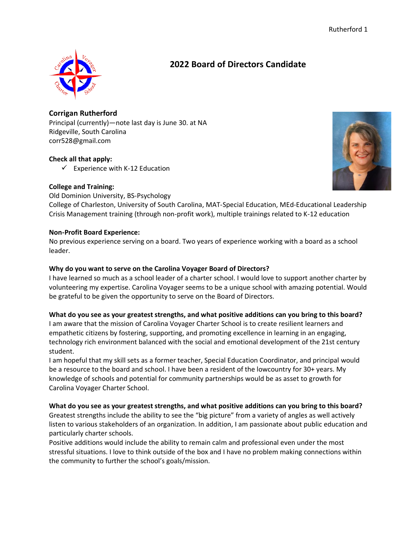

**Corrigan Rutherford** Principal (currently)—note last day is June 30. at NA Ridgeville, South Carolina corr528@gmail.com

## **Check all that apply:**

 $\checkmark$  Experience with K-12 Education

## **College and Training:**



Old Dominion University, BS-Psychology College of Charleston, University of South Carolina, MAT-Special Education, MEd-Educational Leadership Crisis Management training (through non-profit work), multiple trainings related to K-12 education

## **Non-Profit Board Experience:**

No previous experience serving on a board. Two years of experience working with a board as a school leader.

## **Why do you want to serve on the Carolina Voyager Board of Directors?**

I have learned so much as a school leader of a charter school. I would love to support another charter by volunteering my expertise. Carolina Voyager seems to be a unique school with amazing potential. Would be grateful to be given the opportunity to serve on the Board of Directors.

## **What do you see as your greatest strengths, and what positive additions can you bring to this board?**

I am aware that the mission of Carolina Voyager Charter School is to create resilient learners and empathetic citizens by fostering, supporting, and promoting excellence in learning in an engaging, technology rich environment balanced with the social and emotional development of the 21st century student.

I am hopeful that my skill sets as a former teacher, Special Education Coordinator, and principal would be a resource to the board and school. I have been a resident of the lowcountry for 30+ years. My knowledge of schools and potential for community partnerships would be as asset to growth for Carolina Voyager Charter School.

## **What do you see as your greatest strengths, and what positive additions can you bring to this board?**

Greatest strengths include the ability to see the "big picture" from a variety of angles as well actively listen to various stakeholders of an organization. In addition, I am passionate about public education and particularly charter schools.

Positive additions would include the ability to remain calm and professional even under the most stressful situations. I love to think outside of the box and I have no problem making connections within the community to further the school's goals/mission.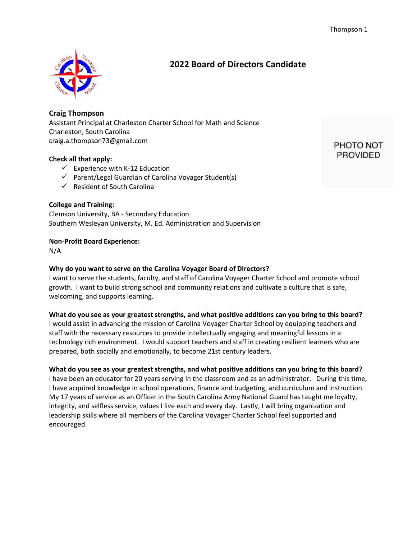

**Craig Thompson** Assistant Principal at Charleston Charter School for Math and Science Charleston, South Carolina craig.a.thompson73@gmail.com

## **Check all that apply:**

- $\checkmark$  Experience with K-12 Education
- ✓ Parent/Legal Guardian of Carolina Voyager Student(s)
- $\checkmark$  Resident of South Carolina

## **College and Training:**

Clemson University, BA - Secondary Education Southern Wesleyan University, M. Ed. Administration and Supervision

#### **Non-Profit Board Experience:**

N/A

#### **Why do you want to serve on the Carolina Voyager Board of Directors?**

I want to serve the students, faculty, and staff of Carolina Voyager Charter School and promote school growth. I want to build strong school and community relations and cultivate a culture that is safe, welcoming, and supports learning.

#### **What do you see as your greatest strengths, and what positive additions can you bring to this board?**

I would assist in advancing the mission of Carolina Voyager Charter School by equipping teachers and staff with the necessary resources to provide intellectually engaging and meaningful lessons in a technology rich environment. I would support teachers and staff in creating resilient learners who are prepared, both socially and emotionally, to become 21st century leaders.

#### **What do you see as your greatest strengths, and what positive additions can you bring to this board?**

I have been an educator for 20 years serving in the classroom and as an administrator. During this time, I have acquired knowledge in school operations, finance and budgeting, and curriculum and instruction. My 17 years of service as an Officer in the South Carolina Army National Guard has taught me loyalty, integrity, and selfless service, values I live each and every day. Lastly, I will bring organization and leadership skills where all members of the Carolina Voyager Charter School feel supported and encouraged.

PHOTO NOT **PROVIDED**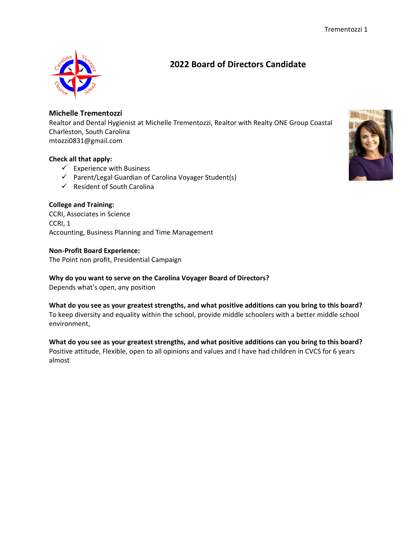

## **Michelle Trementozzi**

Realtor and Dental Hygienist at Michelle Trementozzi, Realtor with Realty ONE Group Coastal Charleston, South Carolina mtozzi0831@gmail.com

## **Check all that apply:**

- $\checkmark$  Experience with Business
- ✓ Parent/Legal Guardian of Carolina Voyager Student(s)
- $\checkmark$  Resident of South Carolina

## **College and Training:**

CCRI, Associates in Science CCRI, 1 Accounting, Business Planning and Time Management

#### **Non-Profit Board Experience:**

The Point non profit, Presidential Campaign

## **Why do you want to serve on the Carolina Voyager Board of Directors?**

Depends what's open, any position

**What do you see as your greatest strengths, and what positive additions can you bring to this board?** To keep diversity and equality within the school, provide middle schoolers with a better middle school environment,

**What do you see as your greatest strengths, and what positive additions can you bring to this board?** Positive attitude, Flexible, open to all opinions and values and I have had children in CVCS for 6 years almost

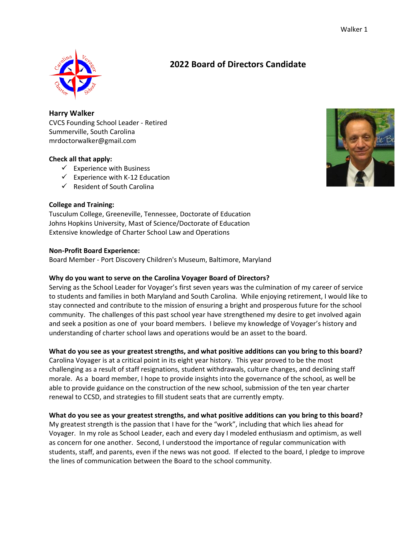#### Walker 1



## **2022 Board of Directors Candidate**

**Harry Walker** CVCS Founding School Leader - Retired Summerville, South Carolina mrdoctorwalker@gmail.com

## **Check all that apply:**

- $\checkmark$  Experience with Business
- $\checkmark$  Experience with K-12 Education
- $\checkmark$  Resident of South Carolina



## **College and Training:**

Tusculum College, Greeneville, Tennessee, Doctorate of Education Johns Hopkins University, Mast of Science/Doctorate of Education Extensive knowledge of Charter School Law and Operations

## **Non-Profit Board Experience:**

Board Member - Port Discovery Children's Museum, Baltimore, Maryland

## **Why do you want to serve on the Carolina Voyager Board of Directors?**

Serving as the School Leader for Voyager's first seven years was the culmination of my career of service to students and families in both Maryland and South Carolina. While enjoying retirement, I would like to stay connected and contribute to the mission of ensuring a bright and prosperous future for the school community. The challenges of this past school year have strengthened my desire to get involved again and seek a position as one of your board members. I believe my knowledge of Voyager's history and understanding of charter school laws and operations would be an asset to the board.

## **What do you see as your greatest strengths, and what positive additions can you bring to this board?**

Carolina Voyager is at a critical point in its eight year history. This year proved to be the most challenging as a result of staff resignations, student withdrawals, culture changes, and declining staff morale. As a board member, I hope to provide insights into the governance of the school, as well be able to provide guidance on the construction of the new school, submission of the ten year charter renewal to CCSD, and strategies to fill student seats that are currently empty.

## **What do you see as your greatest strengths, and what positive additions can you bring to this board?**

My greatest strength is the passion that I have for the "work", including that which lies ahead for Voyager. In my role as School Leader, each and every day I modeled enthusiasm and optimism, as well as concern for one another. Second, I understood the importance of regular communication with students, staff, and parents, even if the news was not good. If elected to the board, I pledge to improve the lines of communication between the Board to the school community.